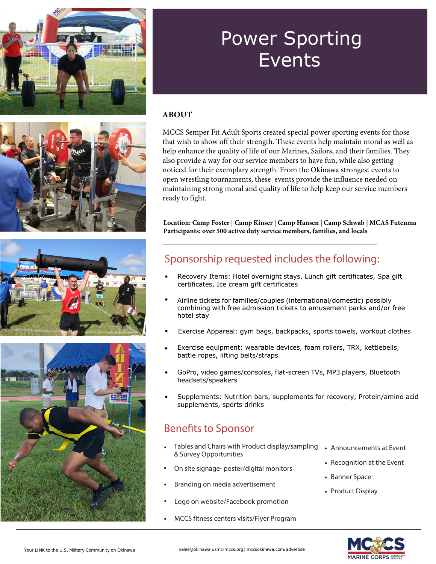







# Power Sporting Events

#### **ABOUT**

MCCS Semper Fit Adult Sports created special power sporting events for those that wish to show off their strength. These events help maintain moral as well as help enhance the quality of life of our Marines, Sailors, and their families. They also provide a way for our service members to have fun, while also getting noticed for their exemplary strength. From the Okinawa strongest events to open wrestling tournaments, these events provide the influence needed on maintaining strong moral and quality of life to help keep our service members ready to fight.

**Location: Camp Foster | Camp Kinser | Camp Hansen | Camp Schwab | MCAS Futenma Participants: over 500 active duty service members, families, and locals**

#### Sponsorship requested includes the following:

- Recovery Items: Hotel overnight stays, Lunch gift certificates, Spa gift certificates, Ice cream gift certificates
- Airline tickets for families/couples (international/domestic) possibly combining with free admission tickets to amusement parks and/or free hotel stay
- Exercise Appareal: gym bags, backpacks, sports towels, workout clothes
- Exercise equipment: wearable devices, foam rollers, TRX, kettlebells, battle ropes, lifting belts/straps
- GoPro, video games/consoles, flat-screen TVs, MP3 players, Bluetooth headsets/speakers
- Supplements: Nutrition bars, supplements for recovery, Protein/amino acid supplements, sports drinks

#### Benefits to Sponsor

- Tables and Chairs with Product display/sampling & Survey Opportunities
- On site signage- poster/digital monitors
- Branding on media advertisement
- Logo on website/Facebook promotion
- MCCS fitness centers visits/Flyer Program
- Announcements at Event
- Recognition at the Event
- Banner Space
- Product Display

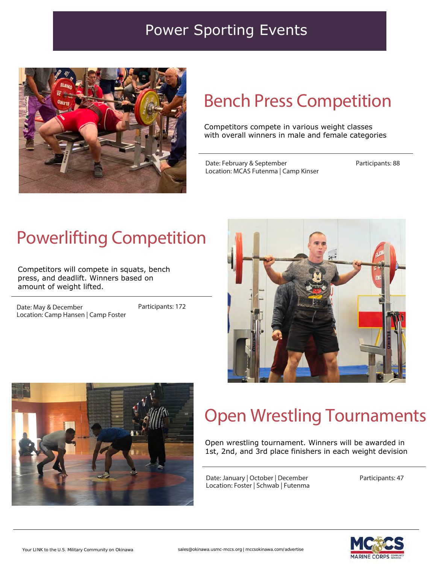#### Power Sporting Events



### Bench Press Competition

Competitors compete in various weight classes with overall winners in male and female categories

Date: February & September Location: MCAS Futenma | Camp Kinser Participants: 88

# Powerlifting Competition

Competitors will compete in squats, bench press, and deadlift. Winners based on amount of weight lifted.

Date: May & December Location: Camp Hansen | Camp Foster Participants: 172





## Open Wrestling Tournaments

Open wrestling tournament. Winners will be awarded in 1st, 2nd, and 3rd place finishers in each weight devision

Date: January | October | December Location: Foster | Schwab | Futenma Participants: 47